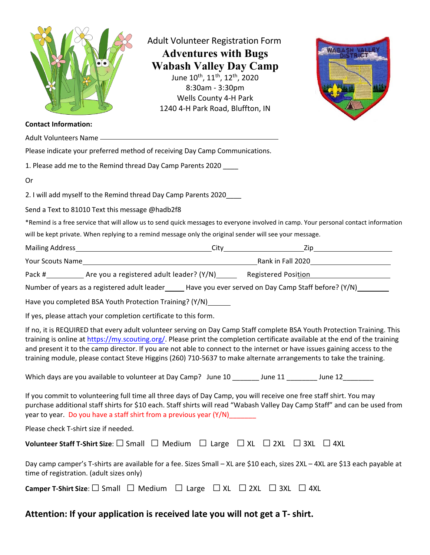

Adult Volunteer Registration Form **Adventures with Bugs Wabash Valley Day Camp** June 10<sup>th</sup>, 11<sup>th</sup>, 12<sup>th</sup>, 2020 8:30am ‐ 3:30pm Wells County 4‐H Park 1240 4‐H Park Road, Bluffton, IN



#### **Contact Information:**

| Please indicate your preferred method of receiving Day Camp Communications.                                                                                                                                                                                                                                                                                                                                                                                                                              |
|----------------------------------------------------------------------------------------------------------------------------------------------------------------------------------------------------------------------------------------------------------------------------------------------------------------------------------------------------------------------------------------------------------------------------------------------------------------------------------------------------------|
| 1. Please add me to the Remind thread Day Camp Parents 2020 ____                                                                                                                                                                                                                                                                                                                                                                                                                                         |
| Or                                                                                                                                                                                                                                                                                                                                                                                                                                                                                                       |
| 2. I will add myself to the Remind thread Day Camp Parents 2020____                                                                                                                                                                                                                                                                                                                                                                                                                                      |
| Send a Text to 81010 Text this message @hadb2f8                                                                                                                                                                                                                                                                                                                                                                                                                                                          |
| *Remind is a free service that will allow us to send quick messages to everyone involved in camp. Your personal contact information                                                                                                                                                                                                                                                                                                                                                                      |
| will be kept private. When replying to a remind message only the original sender will see your message.                                                                                                                                                                                                                                                                                                                                                                                                  |
|                                                                                                                                                                                                                                                                                                                                                                                                                                                                                                          |
|                                                                                                                                                                                                                                                                                                                                                                                                                                                                                                          |
|                                                                                                                                                                                                                                                                                                                                                                                                                                                                                                          |
| Number of years as a registered adult leader ______ Have you ever served on Day Camp Staff before? (Y/N) _______                                                                                                                                                                                                                                                                                                                                                                                         |
| Have you completed BSA Youth Protection Training? (Y/N)______                                                                                                                                                                                                                                                                                                                                                                                                                                            |
| If yes, please attach your completion certificate to this form.                                                                                                                                                                                                                                                                                                                                                                                                                                          |
| If no, it is REQUIRED that every adult volunteer serving on Day Camp Staff complete BSA Youth Protection Training. This<br>training is online at https://my.scouting.org/. Please print the completion certificate available at the end of the training<br>and present it to the camp director. If you are not able to connect to the internet or have issues gaining access to the<br>training module, please contact Steve Higgins (260) 710-5637 to make alternate arrangements to take the training. |
| Which days are you available to volunteer at Day Camp? June 10 ________ June 11 ________ June 12________                                                                                                                                                                                                                                                                                                                                                                                                 |
| If you commit to volunteering full time all three days of Day Camp, you will receive one free staff shirt. You may<br>purchase additional staff shirts for \$10 each. Staff shirts will read "Wabash Valley Day Camp Staff" and can be used from<br>year to year. Do you have a staff shirt from a previous year (Y/N)_______                                                                                                                                                                            |
| Please check T-shirt size if needed.                                                                                                                                                                                                                                                                                                                                                                                                                                                                     |
| Volunteer Staff T-Shirt Size: □ Small □ Medium □ Large □ XL □ 2XL □ 3XL □ 4XL                                                                                                                                                                                                                                                                                                                                                                                                                            |
| Day camp camper's T-shirts are available for a fee. Sizes Small - XL are \$10 each, sizes 2XL - 4XL are \$13 each payable at<br>time of registration. (adult sizes only)                                                                                                                                                                                                                                                                                                                                 |
| <b>Camper T-Shirt Size:</b> $\square$ Small $\square$ Medium $\square$ Large $\square$ XL $\square$ 2XL $\square$ 3XL $\square$ 4XL                                                                                                                                                                                                                                                                                                                                                                      |

### **Attention: If your application is received late you will not get a T‐ shirt.**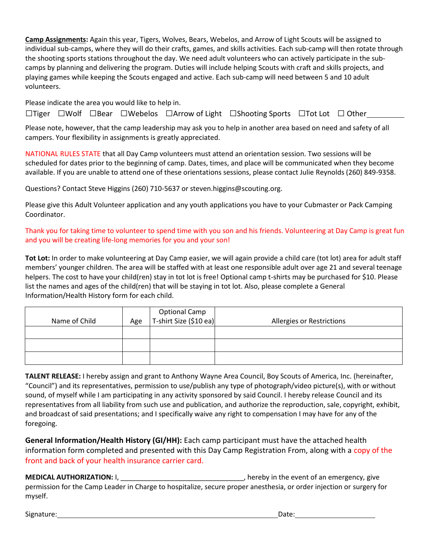**Camp Assignments:** Again this year, Tigers, Wolves, Bears, Webelos, and Arrow of Light Scouts will be assigned to individual sub-camps, where they will do their crafts, games, and skills activities. Each sub-camp will then rotate through the shooting sports stations throughout the day. We need adult volunteers who can actively participate in the subcamps by planning and delivering the program. Duties will include helping Scouts with craft and skills projects, and playing games while keeping the Scouts engaged and active. Each sub-camp will need between 5 and 10 adult volunteers.

Please indicate the area you would like to help in.

□Tiger □Wolf □Bear □Webelos □Arrow of Light □Shooting Sports □Tot Lot □ Other

Please note, however, that the camp leadership may ask you to help in another area based on need and safety of all campers. Your flexibility in assignments is greatly appreciated.

NATIONAL RULES STATE that all Day Camp volunteers must attend an orientation session. Two sessions will be scheduled for dates prior to the beginning of camp. Dates, times, and place will be communicated when they become available. If you are unable to attend one of these orientations sessions, please contact Julie Reynolds (260) 849-9358.

Questions? Contact Steve Higgins (260) 710-5637 or steven.higgins@scouting.org.

Please give this Adult Volunteer application and any youth applications you have to your Cubmaster or Pack Camping Coordinator.

### Thank you for taking time to volunteer to spend time with you son and his friends. Volunteering at Day Camp is great fun and you will be creating life-long memories for you and your son!

**Tot Lot:** In order to make volunteering at Day Camp easier, we will again provide a child care (tot lot) area for adult staff members' younger children. The area will be staffed with at least one responsible adult over age 21 and several teenage helpers. The cost to have your child(ren) stay in tot lot is free! Optional camp t-shirts may be purchased for \$10. Please list the names and ages of the child(ren) that will be staying in tot lot. Also, please complete a General Information/Health History form for each child.

| Name of Child | Age | Optional Camp<br>T-shirt Size (\$10 ea) | Allergies or Restrictions |
|---------------|-----|-----------------------------------------|---------------------------|
|               |     |                                         |                           |
|               |     |                                         |                           |
|               |     |                                         |                           |

**TALENT RELEASE:** I hereby assign and grant to Anthony Wayne Area Council, Boy Scouts of America, Inc. (hereinafter, "Council") and its representatives, permission to use/publish any type of photograph/video picture(s), with or without sound, of myself while I am participating in any activity sponsored by said Council. I hereby release Council and its representatives from all liability from such use and publication, and authorize the reproduction, sale, copyright, exhibit, and broadcast of said presentations; and I specifically waive any right to compensation I may have for any of the foregoing.

**General Information/Health History (GI/HH):** Each camp participant must have the attached health information form completed and presented with this Day Camp Registration From, along with a copy of the front and back of your health insurance carrier card.

**MEDICAL AUTHORIZATION:** I, \_\_\_\_\_\_\_\_\_\_\_\_\_\_\_\_\_\_\_\_\_\_\_\_\_\_\_\_\_\_\_\_, hereby in the event of an emergency, give permission for the Camp Leader in Charge to hospitalize, secure proper anesthesia, or order injection or surgery for myself.

Signature: Date: Date: Date: Date: Date: Date: Date: Date: Date: Date: Date: Date: Date: Date: Date: Date: Date: Date: Date: Date: Date: Date: Date: Date: Date: Date: Date: Date: Date: Date: Date: Date: Date: Date: Date: D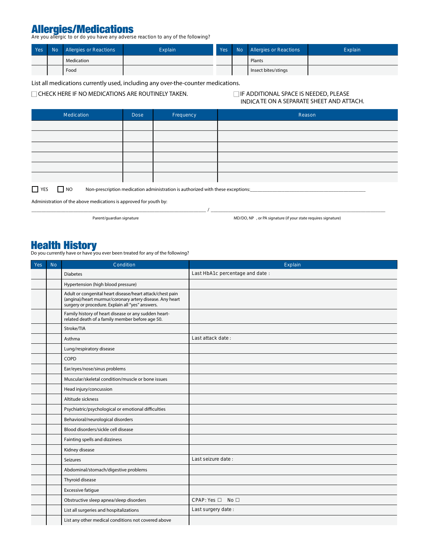# Allergies/Medications<br>Are you allergic to or do you have any adverse reaction to any of the following?

| Yes | No Allergies or Reactions | <b>Explain</b> | Yes <b>N</b> | No Allergies or Reactions | Explain |
|-----|---------------------------|----------------|--------------|---------------------------|---------|
|     | Medication                |                |              | Plants                    |         |
|     | Food                      |                |              | Insect bites/stings       |         |

**List all medications currently used, including any over-the-counter medications.**

□ CHECK HERE IF NO MEDICATIONS ARE ROUTINELY TAKEN. □ IF ADDITIONAL SPACE IS NEEDED, PLEASE

## **INDICATE ON A SEPARATE SHEET AND ATTACH.**

| Medication                                                                                                 | <b>Dose</b> | Frequency | Reason |  |  |
|------------------------------------------------------------------------------------------------------------|-------------|-----------|--------|--|--|
|                                                                                                            |             |           |        |  |  |
|                                                                                                            |             |           |        |  |  |
|                                                                                                            |             |           |        |  |  |
|                                                                                                            |             |           |        |  |  |
|                                                                                                            |             |           |        |  |  |
|                                                                                                            |             |           |        |  |  |
| $\Box$ vec<br>$\Box$ NO<br>Non proccription modication administration is authorized with those exceptions: |             |           |        |  |  |

\_\_\_\_\_\_\_\_\_\_\_\_\_\_\_\_\_\_\_\_\_\_\_\_\_\_\_\_\_\_\_\_\_\_\_\_\_\_\_\_\_\_\_\_\_\_\_\_\_\_\_\_\_\_\_\_\_\_\_\_\_\_\_\_\_\_\_\_\_\_\_ / \_\_\_\_\_\_\_\_\_\_\_\_\_\_\_\_\_\_\_\_\_\_\_\_\_\_\_\_\_\_\_\_\_\_\_\_\_\_\_\_\_\_\_\_\_\_\_\_\_\_\_\_\_\_\_\_\_\_\_\_\_\_\_\_\_\_\_\_\_\_\_

**YES NO** Non-prescription medication administration is authorized with these exceptions:

Administration of the above medications is approved for youth by:

**Parent/guardian signature MD/DO, NP , or PA signature (if your state requires signature)**

## Health History

Do you currently have or have you ever been treated for any of the following?

| Yes | <b>No</b> | Condition                                                                                                                                                                 | Explain                         |
|-----|-----------|---------------------------------------------------------------------------------------------------------------------------------------------------------------------------|---------------------------------|
|     |           | <b>Diabetes</b>                                                                                                                                                           | Last HbA1c percentage and date: |
|     |           | Hypertension (high blood pressure)                                                                                                                                        |                                 |
|     |           | Adult or congenital heart disease/heart attack/chest pain<br>(angina)/heart murmur/coronary artery disease. Any heart<br>surgery or procedure. Explain all "yes" answers. |                                 |
|     |           | Family history of heart disease or any sudden heart-<br>related death of a family member before age 50.                                                                   |                                 |
|     |           | Stroke/TIA                                                                                                                                                                |                                 |
|     |           | Asthma                                                                                                                                                                    | Last attack date:               |
|     |           | Lung/respiratory disease                                                                                                                                                  |                                 |
|     |           | COPD                                                                                                                                                                      |                                 |
|     |           | Ear/eyes/nose/sinus problems                                                                                                                                              |                                 |
|     |           | Muscular/skeletal condition/muscle or bone issues                                                                                                                         |                                 |
|     |           | Head injury/concussion                                                                                                                                                    |                                 |
|     |           | Altitude sickness                                                                                                                                                         |                                 |
|     |           | Psychiatric/psychological or emotional difficulties                                                                                                                       |                                 |
|     |           | Behavioral/neurological disorders                                                                                                                                         |                                 |
|     |           | Blood disorders/sickle cell disease                                                                                                                                       |                                 |
|     |           | Fainting spells and dizziness                                                                                                                                             |                                 |
|     |           | Kidney disease                                                                                                                                                            |                                 |
|     |           | <b>Seizures</b>                                                                                                                                                           | Last seizure date :             |
|     |           | Abdominal/stomach/digestive problems                                                                                                                                      |                                 |
|     |           | Thyroid disease                                                                                                                                                           |                                 |
|     |           | <b>Excessive fatique</b>                                                                                                                                                  |                                 |
|     |           | Obstructive sleep apnea/sleep disorders                                                                                                                                   | CPAP: Yes □ No □                |
|     |           | List all surgeries and hospitalizations                                                                                                                                   | Last surgery date:              |
|     |           | List any other medical conditions not covered above                                                                                                                       |                                 |